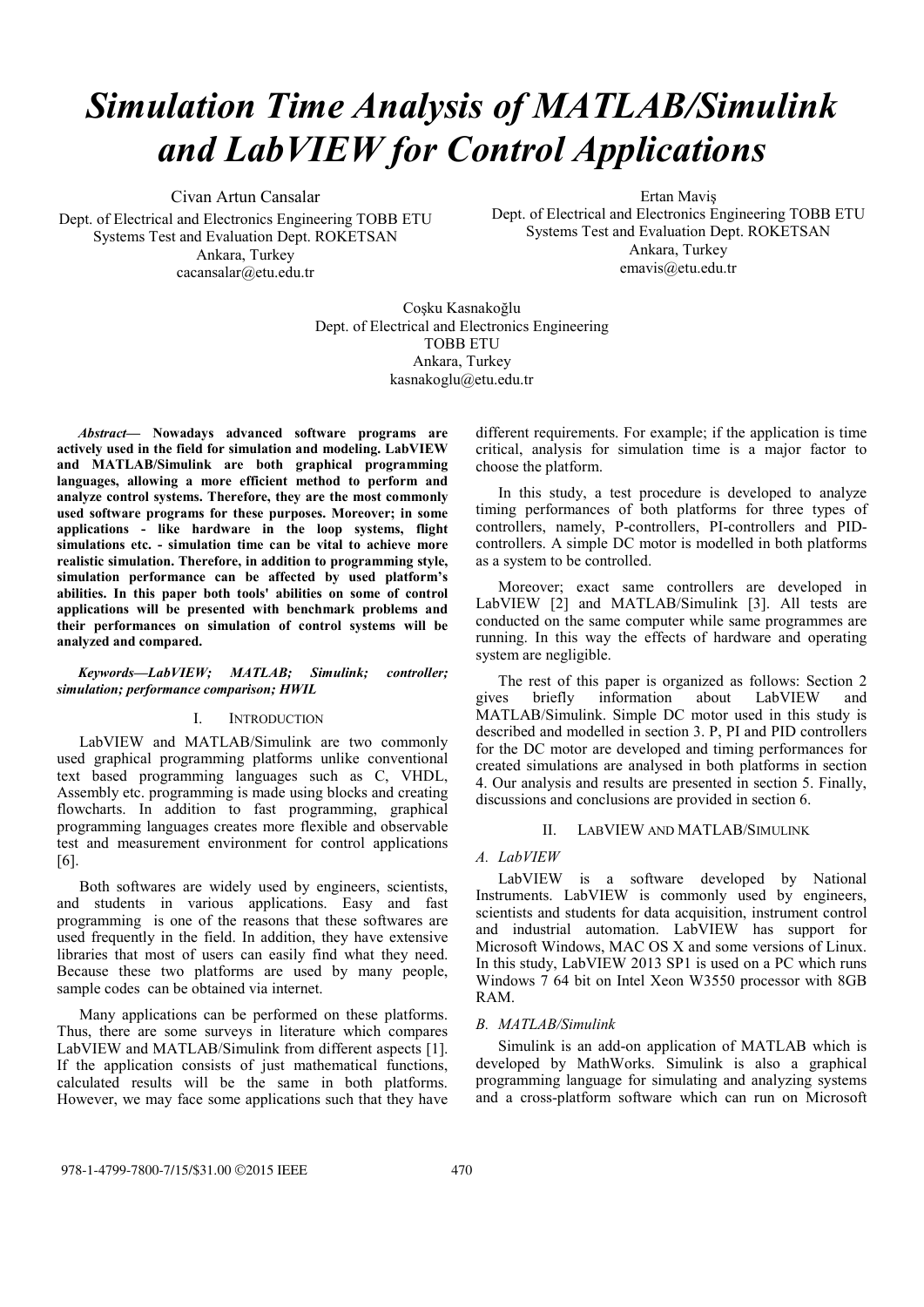# *Simulation Time Analysis of MATLAB/Simulink and LabVIEW for Control Applications*

Civan Artun Cansalar

Dept. of Electrical and Electronics Engineering TOBB ETU Systems Test and Evaluation Dept. ROKETSAN Ankara, Turkey cacansalar@etu.edu.tr

Ertan Maviş

Dept. of Electrical and Electronics Engineering TOBB ETU Systems Test and Evaluation Dept. ROKETSAN Ankara, Turkey emavis@etu.edu.tr

Coşku Kasnakoğlu Dept. of Electrical and Electronics Engineering TOBB ETU Ankara, Turkey kasnakoglu@etu.edu.tr

*Abstract***— Nowadays advanced software programs are actively used in the field for simulation and modeling. LabVIEW and MATLAB/Simulink are both graphical programming languages, allowing a more efficient method to perform and analyze control systems. Therefore, they are the most commonly used software programs for these purposes. Moreover; in some applications - like hardware in the loop systems, flight simulations etc. - simulation time can be vital to achieve more realistic simulation. Therefore, in addition to programming style, simulation performance can be affected by used platform's abilities. In this paper both tools' abilities on some of control applications will be presented with benchmark problems and their performances on simulation of control systems will be analyzed and compared.** 

## *Keywords—LabVIEW; MATLAB; Simulink; controller; simulation; performance comparison; HWIL*

## I. INTRODUCTION

LabVIEW and MATLAB/Simulink are two commonly used graphical programming platforms unlike conventional text based programming languages such as C, VHDL, Assembly etc. programming is made using blocks and creating flowcharts. In addition to fast programming, graphical programming languages creates more flexible and observable test and measurement environment for control applications [6].

Both softwares are widely used by engineers, scientists, and students in various applications. Easy and fast programming is one of the reasons that these softwares are used frequently in the field. In addition, they have extensive libraries that most of users can easily find what they need. Because these two platforms are used by many people, sample codes can be obtained via internet.

Many applications can be performed on these platforms. Thus, there are some surveys in literature which compares LabVIEW and MATLAB/Simulink from different aspects [1]. If the application consists of just mathematical functions, calculated results will be the same in both platforms. However, we may face some applications such that they have

different requirements. For example; if the application is time critical, analysis for simulation time is a major factor to choose the platform.

In this study, a test procedure is developed to analyze timing performances of both platforms for three types of controllers, namely, P-controllers, PI-controllers and PIDcontrollers. A simple DC motor is modelled in both platforms as a system to be controlled.

Moreover; exact same controllers are developed in LabVIEW [2] and MATLAB/Simulink [3]. All tests are conducted on the same computer while same programmes are running. In this way the effects of hardware and operating system are negligible.

The rest of this paper is organized as follows: Section 2 gives briefly information about LabVIEW and MATLAB/Simulink. Simple DC motor used in this study is described and modelled in section 3. P, PI and PID controllers for the DC motor are developed and timing performances for created simulations are analysed in both platforms in section 4. Our analysis and results are presented in section 5. Finally, discussions and conclusions are provided in section 6.

## II. LABVIEW AND MATLAB/SIMULINK

## *A. LabVIEW*

LabVIEW is a software developed by National Instruments. LabVIEW is commonly used by engineers, scientists and students for data acquisition, instrument control and industrial automation. LabVIEW has support for Microsoft Windows, MAC OS X and some versions of Linux. In this study, LabVIEW 2013 SP1 is used on a PC which runs Windows 7 64 bit on Intel Xeon W3550 processor with 8GB RAM.

### *B. MATLAB/Simulink*

Simulink is an add-on application of MATLAB which is developed by MathWorks. Simulink is also a graphical programming language for simulating and analyzing systems and a cross-platform software which can run on Microsoft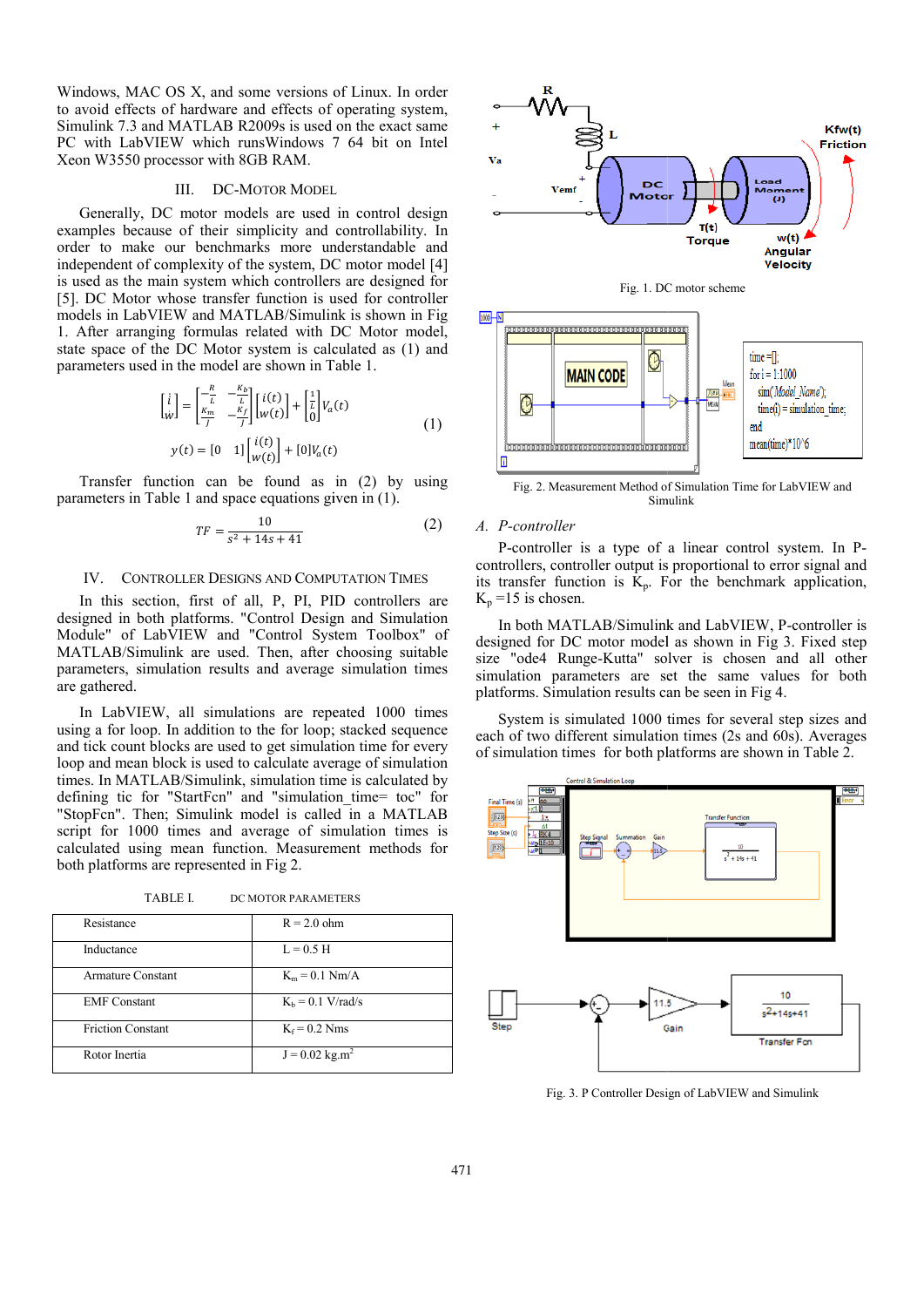Windows, MAC OS X, and some versions of Linux. In order to avoid effects of hardware and effects of operating system, Simulink 7.3 and MATLAB R2009s is used on the exact same PC with LabVIEW which runsWindows 7 64 bit on Intel Xeon W3550 processor with 8GB RAM.

#### **III.** DC-MOTOR MODEL

Generally, DC motor models are used in control design examples because of their simplicity and controllability. In order to make our benchmarks more understandable and independent of complexity of the system, DC motor model [4] is used as the main system which controllers are designed for [5]. DC Motor whose transfer function is used for controller models in LabVIEW and MATLAB/Simulink is shown in Fig 1. After arranging formulas related with DC Motor model, state space of the DC Motor system is calculated as (1) and parameters used in the model are shown in Table 1.

$$
\begin{bmatrix} \dot{i} \\ \dot{w} \end{bmatrix} = \begin{bmatrix} -\frac{R}{L} & -\frac{K_b}{L} \\ \frac{K_m}{J} & -\frac{K_f}{J} \end{bmatrix} \begin{bmatrix} i(t) \\ w(t) \end{bmatrix} + \begin{bmatrix} \frac{1}{L} \\ 0 \end{bmatrix} V_a(t)
$$
  

$$
y(t) = \begin{bmatrix} 0 & 1 \end{bmatrix} \begin{bmatrix} i(t) \\ w(t) \end{bmatrix} + \begin{bmatrix} 0 \end{bmatrix} V_a(t)
$$
 (1)

Transfer function can be found as in (2) by using parameters in Table 1 and space equations given in (1).

$$
TF = \frac{10}{s^2 + 14s + 41} \tag{2}
$$

#### $IV$ **CONTROLLER DESIGNS AND COMPUTATION TIMES**

In this section, first of all, P, PI, PID controllers are designed in both platforms. "Control Design and Simulation Module" of LabVIEW and "Control System Toolbox" of MATLAB/Simulink are used. Then, after choosing suitable parameters, simulation results and average simulation times are gathered.

In LabVIEW, all simulations are repeated 1000 times using a for loop. In addition to the for loop; stacked sequence and tick count blocks are used to get simulation time for every loop and mean block is used to calculate average of simulation times. In MATLAB/Simulink, simulation time is calculated by defining tic for "StartFen" and "simulation time= toc" for "StopFen". Then; Simulink model is called in a MATLAB script for 1000 times and average of simulation times is calculated using mean function. Measurement methods for both platforms are represented in Fig 2.

| TABLE I. | DC MOTOR PARAMETERS |
|----------|---------------------|
|          |                     |

| Resistance               | $R = 2.0$ ohm                |
|--------------------------|------------------------------|
| Inductance               | $L = 0.5$ H                  |
| <b>Armature Constant</b> | $K_m = 0.1 Nm/A$             |
| <b>EMF</b> Constant      | $K_h = 0.1$ V/rad/s          |
| <b>Friction Constant</b> | $K_f = 0.2$ Nms              |
| Rotor Inertia            | $J = 0.02$ kg.m <sup>2</sup> |



Fig. 2. Measurement Method of Simulation Time for LabVIEW and Simulink

#### A. P-controller

P-controller is a type of a linear control system. In Pcontrollers, controller output is proportional to error signal and its transfer function is  $K_p$ . For the benchmark application,  $K_p = 15$  is chosen.

In both MATLAB/Simulink and LabVIEW, P-controller is designed for DC motor model as shown in Fig 3. Fixed step size "ode4 Runge-Kutta" solver is chosen and all other simulation parameters are set the same values for both platforms. Simulation results can be seen in Fig 4.

System is simulated 1000 times for several step sizes and each of two different simulation times (2s and 60s). Averages of simulation times for both platforms are shown in Table 2.



Fig. 3. P Controller Design of LabVIEW and Simulink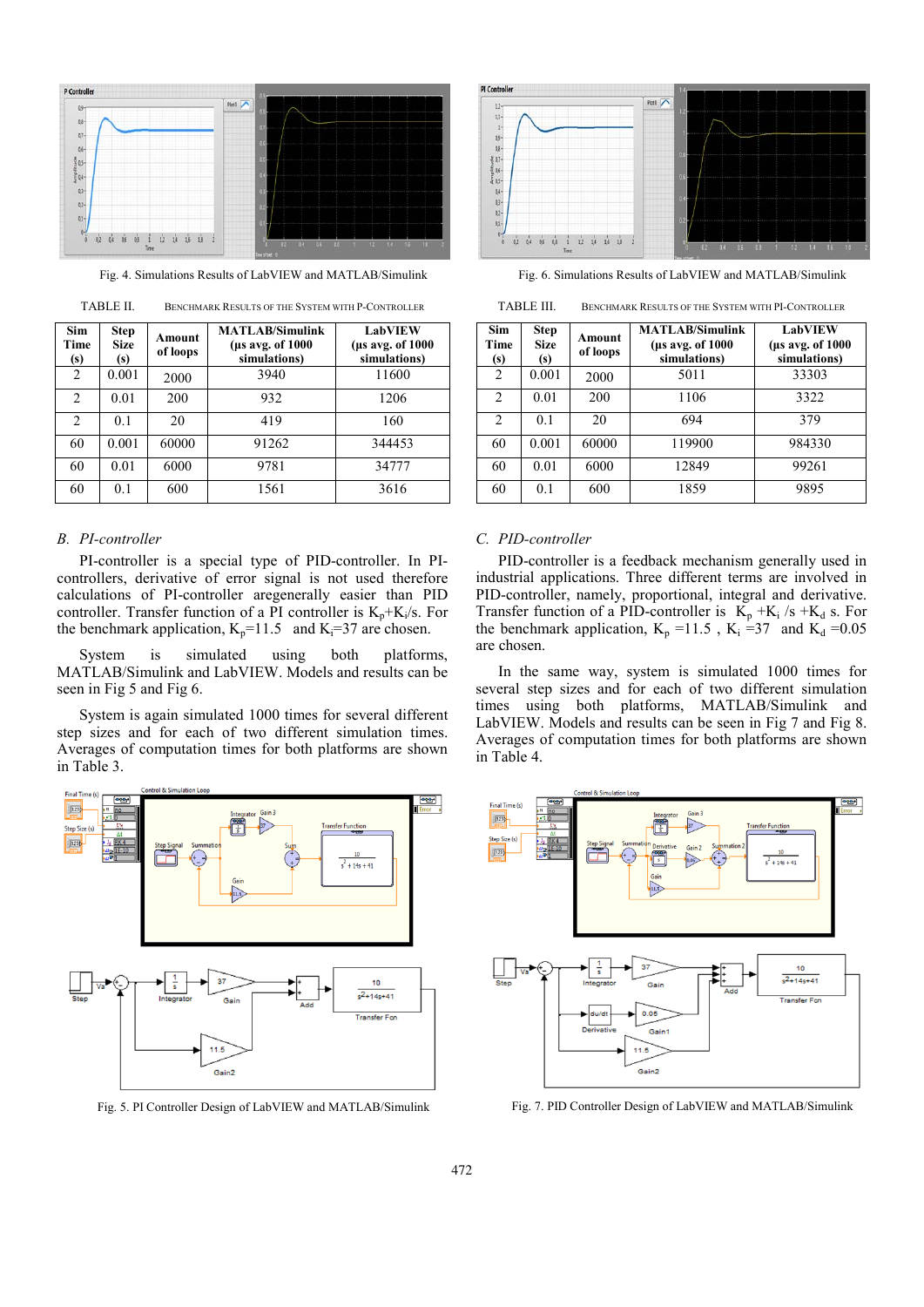

Fig. 4. Simulations Results of LabVIEW and MATLAB/Simulink

| <b>Sim</b><br>Time<br>(s) | <b>Step</b><br><b>Size</b><br>(s) | Amount<br>of loops | <b>MATLAB/Simulink</b><br>( $\mu$ s avg. of 1000<br>simulations) | <b>LabVIEW</b><br>( $\mu s$ avg. of 1000<br>simulations) |
|---------------------------|-----------------------------------|--------------------|------------------------------------------------------------------|----------------------------------------------------------|
| 2                         | 0.001                             | 2000               | 3940                                                             | 11600                                                    |
| $\overline{c}$            | 0.01                              | 200                | 932                                                              | 1206                                                     |
| $\overline{2}$            | 0.1                               | 20                 | 419                                                              | 160                                                      |
| 60                        | 0.001                             | 60000              | 91262                                                            | 344453                                                   |
| 60                        | 0.01                              | 6000               | 9781                                                             | 34777                                                    |
| 60                        | 0.1                               | 600                | 1561                                                             | 3616                                                     |

TABLE II. BENCHMARK RESULTS OF THE SYSTEM WITH P-CONTROLLER

## *B. PI-controller*

PI-controller is a special type of PID-controller. In PIcontrollers, derivative of error signal is not used therefore calculations of PI-controller aregenerally easier than PID controller. Transfer function of a PI controller is  $K_p+K_i/s$ . For the benchmark application,  $K_p=11.5$  and  $K_i=37$  are chosen.

System is simulated using both platforms, MATLAB/Simulink and LabVIEW. Models and results can be seen in Fig 5 and Fig 6.

System is again simulated 1000 times for several different step sizes and for each of two different simulation times. Averages of computation times for both platforms are shown in Table 3.



Fig. 5. PI Controller Design of LabVIEW and MATLAB/Simulink



Fig. 6. Simulations Results of LabVIEW and MATLAB/Simulink

TABLE III. BENCHMARK RESULTS OF THE SYSTEM WITH PI-CONTROLLER

| <b>Sim</b><br><b>Time</b><br>(s) | <b>Step</b><br><b>Size</b><br>(s) | Amount<br>of loops | <b>MATLAB/Simulink</b><br>( $\mu s$ avg. of $1000$<br>simulations) | <b>LabVIEW</b><br>( $\mu s$ avg. of $1000$<br>simulations) |
|----------------------------------|-----------------------------------|--------------------|--------------------------------------------------------------------|------------------------------------------------------------|
| $\overline{c}$                   | 0.001                             | 2000               | 5011                                                               | 33303                                                      |
| $\overline{c}$                   | 0.01                              | 200                | 1106                                                               | 3322                                                       |
| $\overline{c}$                   | 0 <sub>1</sub>                    | 20                 | 694                                                                | 379                                                        |
| 60                               | 0.001                             | 60000              | 119900                                                             | 984330                                                     |
| 60                               | 0.01                              | 6000               | 12849                                                              | 99261                                                      |
| 60                               | 0.1                               | 600                | 1859                                                               | 9895                                                       |

## *C. PID-controller*

PID-controller is a feedback mechanism generally used in industrial applications. Three different terms are involved in PID-controller, namely, proportional, integral and derivative. Transfer function of a PID-controller is  $K_p + K_i / s + K_d$  s. For the benchmark application,  $K_p = 11.5$ ,  $K_i = 37$  and  $K_d = 0.05$ are chosen.

In the same way, system is simulated 1000 times for several step sizes and for each of two different simulation times using both platforms, MATLAB/Simulink and LabVIEW. Models and results can be seen in Fig 7 and Fig 8. Averages of computation times for both platforms are shown in Table 4.



Fig. 7. PID Controller Design of LabVIEW and MATLAB/Simulink